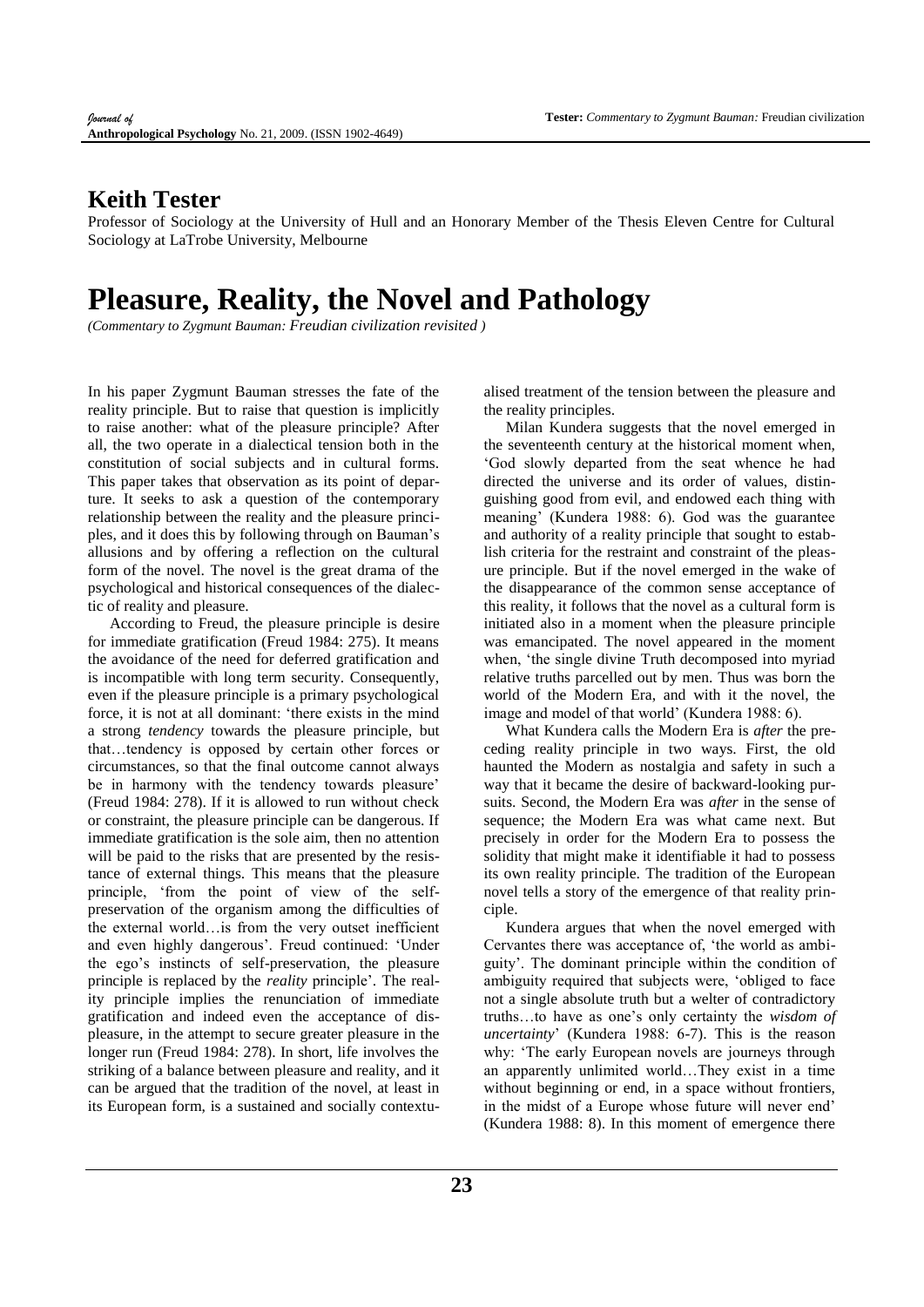## **Keith Tester**

Professor of Sociology at the University of Hull and an Honorary Member of the Thesis Eleven Centre for Cultural Sociology at LaTrobe University, Melbourne

## **Pleasure, Reality, the Novel and Pathology**

*(Commentary to Zygmunt Bauman: Freudian civilization revisited )*

In his paper Zygmunt Bauman stresses the fate of the reality principle. But to raise that question is implicitly to raise another: what of the pleasure principle? After all, the two operate in a dialectical tension both in the constitution of social subjects and in cultural forms. This paper takes that observation as its point of departure. It seeks to ask a question of the contemporary relationship between the reality and the pleasure principles, and it does this by following through on Bauman's allusions and by offering a reflection on the cultural form of the novel. The novel is the great drama of the psychological and historical consequences of the dialectic of reality and pleasure.

According to Freud, the pleasure principle is desire for immediate gratification (Freud 1984: 275). It means the avoidance of the need for deferred gratification and is incompatible with long term security. Consequently, even if the pleasure principle is a primary psychological force, it is not at all dominant: 'there exists in the mind a strong *tendency* towards the pleasure principle, but that…tendency is opposed by certain other forces or circumstances, so that the final outcome cannot always be in harmony with the tendency towards pleasure' (Freud 1984: 278). If it is allowed to run without check or constraint, the pleasure principle can be dangerous. If immediate gratification is the sole aim, then no attention will be paid to the risks that are presented by the resistance of external things. This means that the pleasure principle, 'from the point of view of the selfpreservation of the organism among the difficulties of the external world…is from the very outset inefficient and even highly dangerous'. Freud continued: 'Under the ego's instincts of self-preservation, the pleasure principle is replaced by the *reality* principle'. The reality principle implies the renunciation of immediate gratification and indeed even the acceptance of displeasure, in the attempt to secure greater pleasure in the longer run (Freud 1984: 278). In short, life involves the striking of a balance between pleasure and reality, and it can be argued that the tradition of the novel, at least in its European form, is a sustained and socially contextualised treatment of the tension between the pleasure and the reality principles.

Milan Kundera suggests that the novel emerged in the seventeenth century at the historical moment when, 'God slowly departed from the seat whence he had directed the universe and its order of values, distinguishing good from evil, and endowed each thing with meaning' (Kundera 1988: 6). God was the guarantee and authority of a reality principle that sought to establish criteria for the restraint and constraint of the pleasure principle. But if the novel emerged in the wake of the disappearance of the common sense acceptance of this reality, it follows that the novel as a cultural form is initiated also in a moment when the pleasure principle was emancipated. The novel appeared in the moment when, 'the single divine Truth decomposed into myriad relative truths parcelled out by men. Thus was born the world of the Modern Era, and with it the novel, the image and model of that world' (Kundera 1988: 6).

What Kundera calls the Modern Era is *after* the preceding reality principle in two ways. First, the old haunted the Modern as nostalgia and safety in such a way that it became the desire of backward-looking pursuits. Second, the Modern Era was *after* in the sense of sequence; the Modern Era was what came next. But precisely in order for the Modern Era to possess the solidity that might make it identifiable it had to possess its own reality principle. The tradition of the European novel tells a story of the emergence of that reality principle.

Kundera argues that when the novel emerged with Cervantes there was acceptance of, 'the world as ambiguity'. The dominant principle within the condition of ambiguity required that subjects were, 'obliged to face not a single absolute truth but a welter of contradictory truths…to have as one's only certainty the *wisdom of uncertainty*' (Kundera 1988: 6-7). This is the reason why: 'The early European novels are journeys through an apparently unlimited world…They exist in a time without beginning or end, in a space without frontiers, in the midst of a Europe whose future will never end' (Kundera 1988: 8). In this moment of emergence there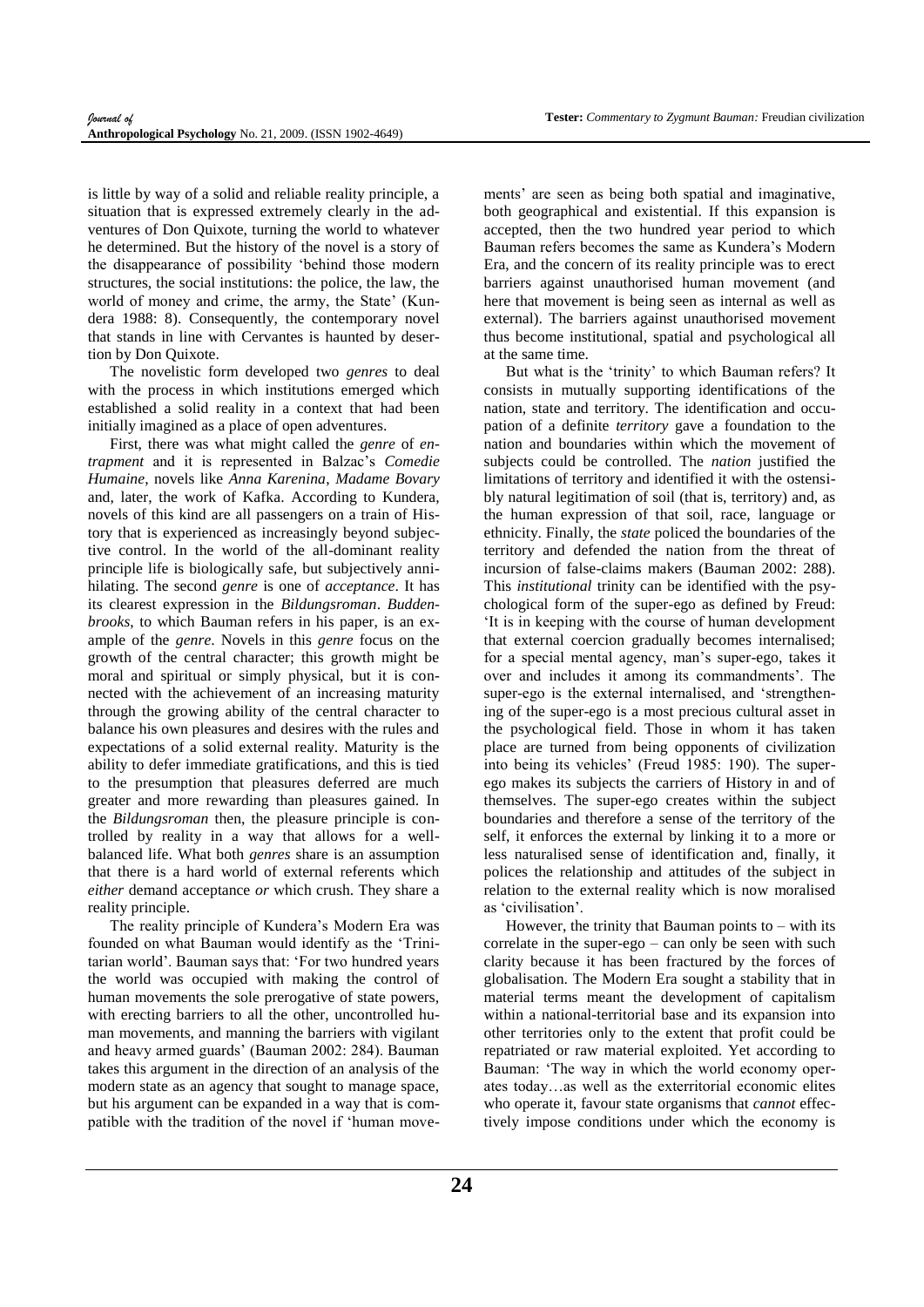is little by way of a solid and reliable reality principle, a situation that is expressed extremely clearly in the adventures of Don Quixote, turning the world to whatever he determined. But the history of the novel is a story of the disappearance of possibility 'behind those modern structures, the social institutions: the police, the law, the world of money and crime, the army, the State' (Kundera 1988: 8). Consequently, the contemporary novel that stands in line with Cervantes is haunted by desertion by Don Quixote.

The novelistic form developed two *genres* to deal with the process in which institutions emerged which established a solid reality in a context that had been initially imagined as a place of open adventures.

First, there was what might called the *genre* of *entrapment* and it is represented in Balzac's *Comedie Humaine*, novels like *Anna Karenina*, *Madame Bovary* and, later, the work of Kafka. According to Kundera, novels of this kind are all passengers on a train of History that is experienced as increasingly beyond subjective control. In the world of the all-dominant reality principle life is biologically safe, but subjectively annihilating. The second *genre* is one of *acceptance*. It has its clearest expression in the *Bildungsroman*. *Buddenbrooks*, to which Bauman refers in his paper, is an example of the *genre*. Novels in this *genre* focus on the growth of the central character; this growth might be moral and spiritual or simply physical, but it is connected with the achievement of an increasing maturity through the growing ability of the central character to balance his own pleasures and desires with the rules and expectations of a solid external reality. Maturity is the ability to defer immediate gratifications, and this is tied to the presumption that pleasures deferred are much greater and more rewarding than pleasures gained. In the *Bildungsroman* then, the pleasure principle is controlled by reality in a way that allows for a wellbalanced life. What both *genres* share is an assumption that there is a hard world of external referents which *either* demand acceptance *or* which crush. They share a reality principle.

The reality principle of Kundera's Modern Era was founded on what Bauman would identify as the 'Trinitarian world'. Bauman says that: 'For two hundred years the world was occupied with making the control of human movements the sole prerogative of state powers, with erecting barriers to all the other, uncontrolled human movements, and manning the barriers with vigilant and heavy armed guards' (Bauman 2002: 284). Bauman takes this argument in the direction of an analysis of the modern state as an agency that sought to manage space, but his argument can be expanded in a way that is compatible with the tradition of the novel if 'human movements' are seen as being both spatial and imaginative, both geographical and existential. If this expansion is accepted, then the two hundred year period to which Bauman refers becomes the same as Kundera's Modern Era, and the concern of its reality principle was to erect barriers against unauthorised human movement (and here that movement is being seen as internal as well as external). The barriers against unauthorised movement thus become institutional, spatial and psychological all at the same time.

But what is the 'trinity' to which Bauman refers? It consists in mutually supporting identifications of the nation, state and territory. The identification and occupation of a definite *territory* gave a foundation to the nation and boundaries within which the movement of subjects could be controlled. The *nation* justified the limitations of territory and identified it with the ostensibly natural legitimation of soil (that is, territory) and, as the human expression of that soil, race, language or ethnicity. Finally, the *state* policed the boundaries of the territory and defended the nation from the threat of incursion of false-claims makers (Bauman 2002: 288). This *institutional* trinity can be identified with the psychological form of the super-ego as defined by Freud: 'It is in keeping with the course of human development that external coercion gradually becomes internalised; for a special mental agency, man's super-ego, takes it over and includes it among its commandments'. The super-ego is the external internalised, and 'strengthening of the super-ego is a most precious cultural asset in the psychological field. Those in whom it has taken place are turned from being opponents of civilization into being its vehicles' (Freud 1985: 190). The superego makes its subjects the carriers of History in and of themselves. The super-ego creates within the subject boundaries and therefore a sense of the territory of the self, it enforces the external by linking it to a more or less naturalised sense of identification and, finally, it polices the relationship and attitudes of the subject in relation to the external reality which is now moralised as 'civilisation'.

However, the trinity that Bauman points to  $-$  with its correlate in the super-ego – can only be seen with such clarity because it has been fractured by the forces of globalisation. The Modern Era sought a stability that in material terms meant the development of capitalism within a national-territorial base and its expansion into other territories only to the extent that profit could be repatriated or raw material exploited. Yet according to Bauman: 'The way in which the world economy operates today…as well as the exterritorial economic elites who operate it, favour state organisms that *cannot* effectively impose conditions under which the economy is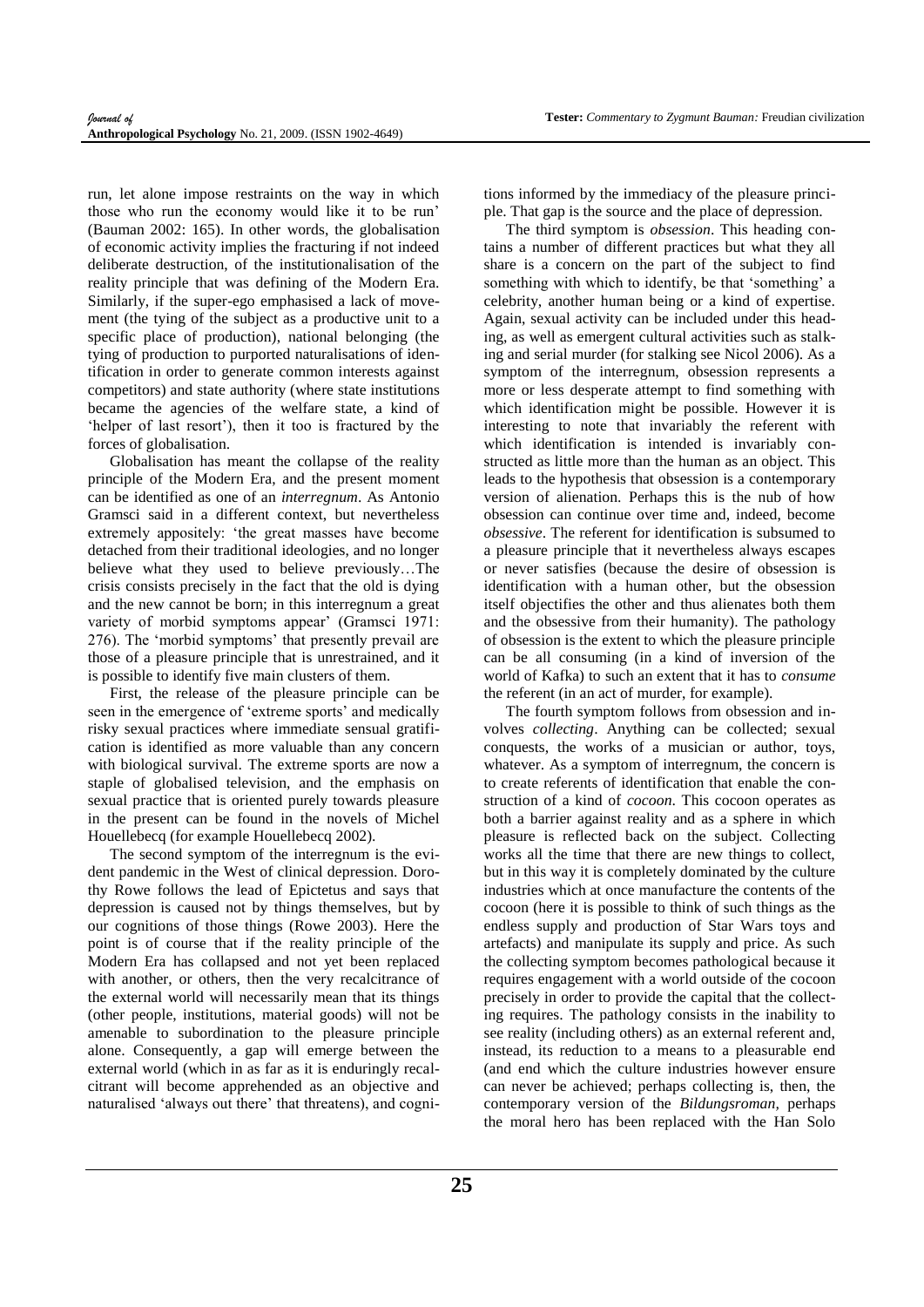run, let alone impose restraints on the way in which those who run the economy would like it to be run' (Bauman 2002: 165). In other words, the globalisation of economic activity implies the fracturing if not indeed deliberate destruction, of the institutionalisation of the reality principle that was defining of the Modern Era. Similarly, if the super-ego emphasised a lack of movement (the tying of the subject as a productive unit to a specific place of production), national belonging (the tying of production to purported naturalisations of identification in order to generate common interests against competitors) and state authority (where state institutions became the agencies of the welfare state, a kind of 'helper of last resort'), then it too is fractured by the forces of globalisation.

Globalisation has meant the collapse of the reality principle of the Modern Era, and the present moment can be identified as one of an *interregnum*. As Antonio Gramsci said in a different context, but nevertheless extremely appositely: 'the great masses have become detached from their traditional ideologies, and no longer believe what they used to believe previously…The crisis consists precisely in the fact that the old is dying and the new cannot be born; in this interregnum a great variety of morbid symptoms appear' (Gramsci 1971: 276). The 'morbid symptoms' that presently prevail are those of a pleasure principle that is unrestrained, and it is possible to identify five main clusters of them.

First, the release of the pleasure principle can be seen in the emergence of 'extreme sports' and medically risky sexual practices where immediate sensual gratification is identified as more valuable than any concern with biological survival. The extreme sports are now a staple of globalised television, and the emphasis on sexual practice that is oriented purely towards pleasure in the present can be found in the novels of Michel Houellebecq (for example Houellebecq 2002).

The second symptom of the interregnum is the evident pandemic in the West of clinical depression. Dorothy Rowe follows the lead of Epictetus and says that depression is caused not by things themselves, but by our cognitions of those things (Rowe 2003). Here the point is of course that if the reality principle of the Modern Era has collapsed and not yet been replaced with another, or others, then the very recalcitrance of the external world will necessarily mean that its things (other people, institutions, material goods) will not be amenable to subordination to the pleasure principle alone. Consequently, a gap will emerge between the external world (which in as far as it is enduringly recalcitrant will become apprehended as an objective and naturalised 'always out there' that threatens), and cognitions informed by the immediacy of the pleasure principle. That gap is the source and the place of depression.

The third symptom is *obsession*. This heading contains a number of different practices but what they all share is a concern on the part of the subject to find something with which to identify, be that 'something' a celebrity, another human being or a kind of expertise. Again, sexual activity can be included under this heading, as well as emergent cultural activities such as stalking and serial murder (for stalking see Nicol 2006). As a symptom of the interregnum, obsession represents a more or less desperate attempt to find something with which identification might be possible. However it is interesting to note that invariably the referent with which identification is intended is invariably constructed as little more than the human as an object. This leads to the hypothesis that obsession is a contemporary version of alienation. Perhaps this is the nub of how obsession can continue over time and, indeed, become *obsessive*. The referent for identification is subsumed to a pleasure principle that it nevertheless always escapes or never satisfies (because the desire of obsession is identification with a human other, but the obsession itself objectifies the other and thus alienates both them and the obsessive from their humanity). The pathology of obsession is the extent to which the pleasure principle can be all consuming (in a kind of inversion of the world of Kafka) to such an extent that it has to *consume* the referent (in an act of murder, for example).

The fourth symptom follows from obsession and involves *collecting*. Anything can be collected; sexual conquests, the works of a musician or author, toys, whatever. As a symptom of interregnum, the concern is to create referents of identification that enable the construction of a kind of *cocoon*. This cocoon operates as both a barrier against reality and as a sphere in which pleasure is reflected back on the subject. Collecting works all the time that there are new things to collect, but in this way it is completely dominated by the culture industries which at once manufacture the contents of the cocoon (here it is possible to think of such things as the endless supply and production of Star Wars toys and artefacts) and manipulate its supply and price. As such the collecting symptom becomes pathological because it requires engagement with a world outside of the cocoon precisely in order to provide the capital that the collecting requires. The pathology consists in the inability to see reality (including others) as an external referent and, instead, its reduction to a means to a pleasurable end (and end which the culture industries however ensure can never be achieved; perhaps collecting is, then, the contemporary version of the *Bildungsroman,* perhaps the moral hero has been replaced with the Han Solo